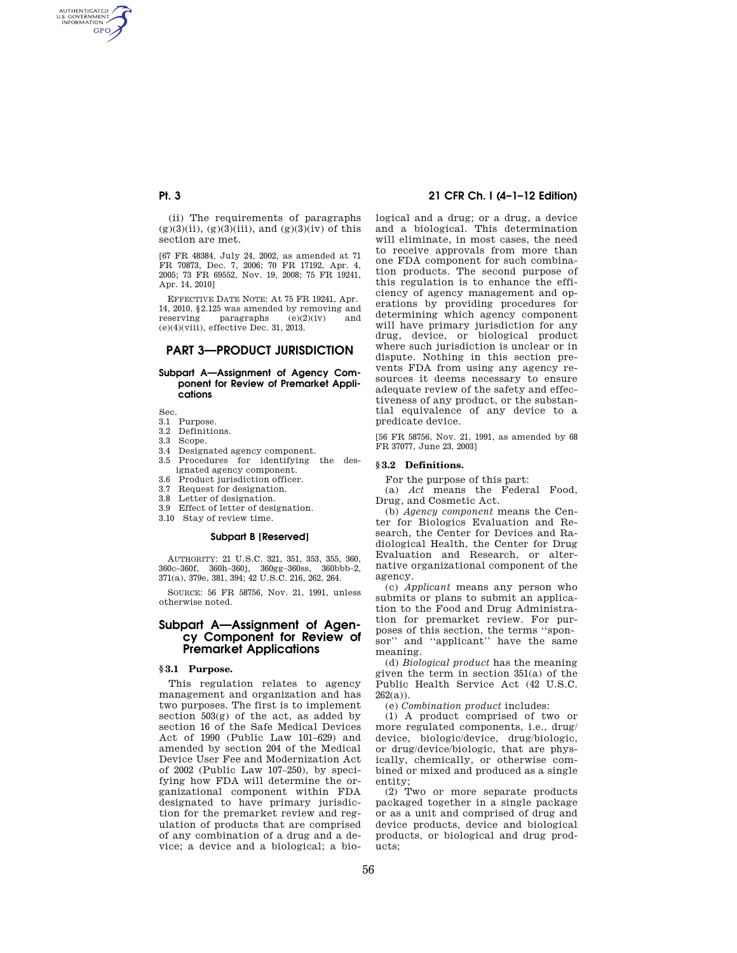AUTHENTICATED<br>U.S. GOVERNMENT<br>INFORMATION **GPO** 

> (ii) The requirements of paragraphs  $(g)(3)(ii)$ ,  $(g)(3)(iii)$ , and  $(g)(3)(iv)$  of this section are met.

> [67 FR 48384, July 24, 2002, as amended at 71 FR 70873, Dec. 7, 2006; 70 FR 17192, Apr. 4, 2005; 73 FR 69552, Nov. 19, 2008; 75 FR 19241, Apr. 14, 2010]

> EFFECTIVE DATE NOTE: At 75 FR 19241, Apr. 14, 2010, §2.125 was amended by removing and<br>reserving paragraphs  $(e)(2)(iv)$  and reserving paragraphs  $(e)(2)(iv)$  and (e)(4)(viii), effective Dec. 31, 2013.

# **PART 3—PRODUCT JURISDICTION**

#### **Subpart A—Assignment of Agency Component for Review of Premarket Applications**

Sec.

- 3.1 Purpose.
- 3.2 Definitions.
- 3.3 Scope.
- 3.4 Designated agency component. 3.5 Procedures for identifying the des-
- ignated agency component.
- 3.6 Product jurisdiction officer.<br>3.7 Request for designation.
- Request for designation.
- 3.8 Letter of designation.
- 3.9 Effect of letter of designation.
- 3.10 Stay of review time.

# **Subpart B [Reserved]**

AUTHORITY: 21 U.S.C. 321, 351, 353, 355, 360, 360c–360f, 360h–360j, 360gg–360ss, 360bbb–2, 371(a), 379e, 381, 394; 42 U.S.C. 216, 262, 264.

SOURCE: 56 FR 58756, Nov. 21, 1991, unless otherwise noted.

# **Subpart A—Assignment of Agency Component for Review of Premarket Applications**

### **§ 3.1 Purpose.**

This regulation relates to agency management and organization and has two purposes. The first is to implement section  $503(g)$  of the act, as added by section 16 of the Safe Medical Devices Act of 1990 (Public Law 101–629) and amended by section 204 of the Medical Device User Fee and Modernization Act of 2002 (Public Law 107–250), by specifying how FDA will determine the organizational component within FDA designated to have primary jurisdiction for the premarket review and regulation of products that are comprised of any combination of a drug and a device; a device and a biological; a bio-

# **Pt. 3 21 CFR Ch. I (4–1–12 Edition)**

logical and a drug; or a drug, a device and a biological. This determination will eliminate, in most cases, the need to receive approvals from more than one FDA component for such combination products. The second purpose of this regulation is to enhance the efficiency of agency management and operations by providing procedures for determining which agency component will have primary jurisdiction for any drug, device, or biological product where such jurisdiction is unclear or in dispute. Nothing in this section prevents FDA from using any agency resources it deems necessary to ensure adequate review of the safety and effectiveness of any product, or the substantial equivalence of any device to a predicate device.

[56 FR 58756, Nov. 21, 1991, as amended by 68 FR 37077, June 23, 2003]

#### **§ 3.2 Definitions.**

For the purpose of this part:

(a) *Act* means the Federal Food, Drug, and Cosmetic Act.

(b) *Agency component* means the Center for Biologics Evaluation and Research, the Center for Devices and Radiological Health, the Center for Drug Evaluation and Research, or alternative organizational component of the agency.

(c) *Applicant* means any person who submits or plans to submit an application to the Food and Drug Administration for premarket review. For purposes of this section, the terms ''sponsor'' and ''applicant'' have the same meaning.

(d) *Biological product* has the meaning given the term in section 351(a) of the Public Health Service Act (42 U.S.C.  $262(a)$ ).

(e) *Combination product* includes:

(1) A product comprised of two or more regulated components, i.e., drug/ device, biologic/device, drug/biologic, or drug/device/biologic, that are physically, chemically, or otherwise combined or mixed and produced as a single entity;

(2) Two or more separate products packaged together in a single package or as a unit and comprised of drug and device products, device and biological products, or biological and drug prod- $\bar{u}$ <sub>ucts</sub>;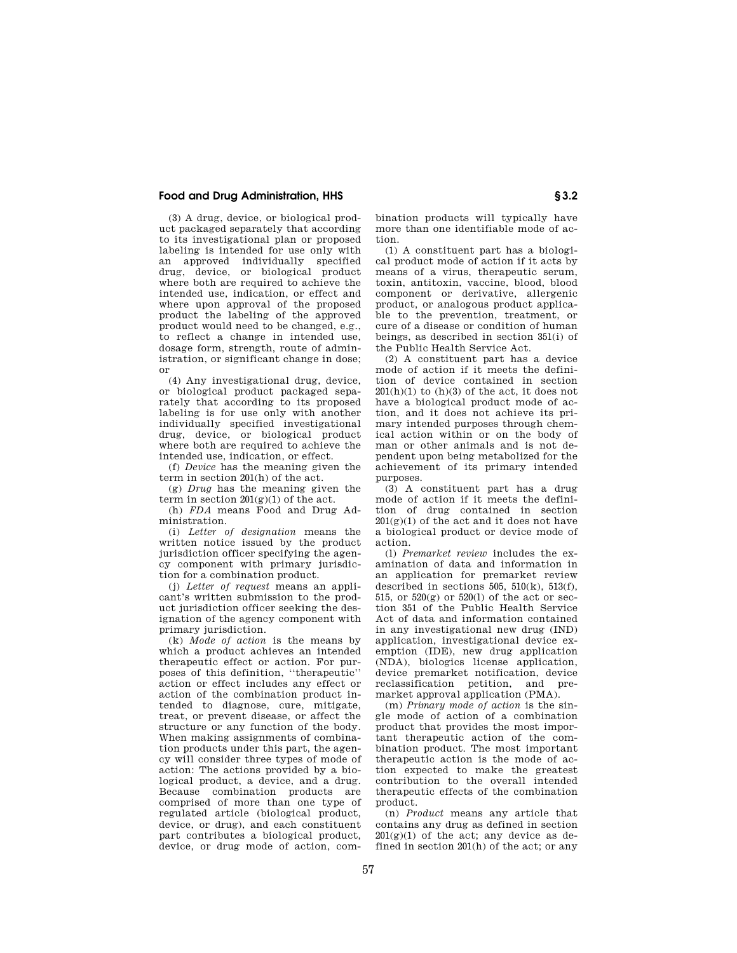## **Food and Drug Administration, HHS § 3.2**

(3) A drug, device, or biological product packaged separately that according to its investigational plan or proposed labeling is intended for use only with an approved individually specified drug, device, or biological product where both are required to achieve the intended use, indication, or effect and where upon approval of the proposed product the labeling of the approved product would need to be changed, e.g., to reflect a change in intended use, dosage form, strength, route of administration, or significant change in dose; or

(4) Any investigational drug, device, or biological product packaged separately that according to its proposed labeling is for use only with another individually specified investigational drug, device, or biological product where both are required to achieve the intended use, indication, or effect.

(f) *Device* has the meaning given the term in section 201(h) of the act.

(g) *Drug* has the meaning given the term in section  $201(g)(1)$  of the act.

(h) *FDA* means Food and Drug Administration.

(i) *Letter of designation* means the written notice issued by the product jurisdiction officer specifying the agency component with primary jurisdiction for a combination product.

(j) *Letter of request* means an applicant's written submission to the product jurisdiction officer seeking the designation of the agency component with primary jurisdiction.

(k) *Mode of action* is the means by which a product achieves an intended therapeutic effect or action. For purposes of this definition, ''therapeutic'' action or effect includes any effect or action of the combination product intended to diagnose, cure, mitigate, treat, or prevent disease, or affect the structure or any function of the body. When making assignments of combination products under this part, the agency will consider three types of mode of action: The actions provided by a biological product, a device, and a drug. Because combination products are comprised of more than one type of regulated article (biological product, device, or drug), and each constituent part contributes a biological product, device, or drug mode of action, combination products will typically have more than one identifiable mode of action.

(1) A constituent part has a biological product mode of action if it acts by means of a virus, therapeutic serum, toxin, antitoxin, vaccine, blood, blood component or derivative, allergenic product, or analogous product applicable to the prevention, treatment, or cure of a disease or condition of human beings, as described in section 351(i) of the Public Health Service Act.

(2) A constituent part has a device mode of action if it meets the definition of device contained in section  $201(h)(1)$  to  $(h)(3)$  of the act, it does not have a biological product mode of action, and it does not achieve its primary intended purposes through chemical action within or on the body of man or other animals and is not dependent upon being metabolized for the achievement of its primary intended purposes.

(3) A constituent part has a drug mode of action if it meets the definition of drug contained in section  $201(g)(1)$  of the act and it does not have a biological product or device mode of action.

(l) *Premarket review* includes the examination of data and information in an application for premarket review described in sections 505,  $510(k)$ ,  $513(f)$ , 515, or  $520(g)$  or  $520(1)$  of the act or section 351 of the Public Health Service Act of data and information contained in any investigational new drug (IND) application, investigational device exemption (IDE), new drug application (NDA), biologics license application, device premarket notification, device reclassification petition, and premarket approval application (PMA).

(m) *Primary mode of action* is the single mode of action of a combination product that provides the most important therapeutic action of the combination product. The most important therapeutic action is the mode of action expected to make the greatest contribution to the overall intended therapeutic effects of the combination product.

(n) *Product* means any article that contains any drug as defined in section  $201(g)(1)$  of the act; any device as defined in section 201(h) of the act; or any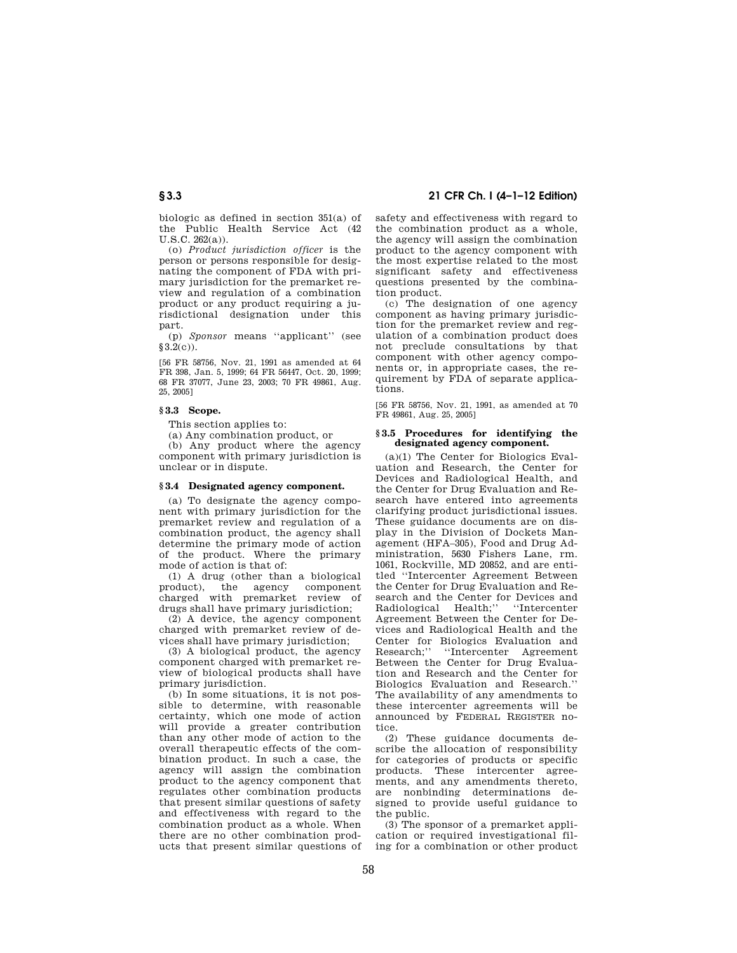# **§ 3.3 21 CFR Ch. I (4–1–12 Edition)**

biologic as defined in section 351(a) of the Public Health Service Act (42 U.S.C. 262(a)).

(o) *Product jurisdiction officer* is the person or persons responsible for designating the component of FDA with primary jurisdiction for the premarket review and regulation of a combination product or any product requiring a jurisdictional designation under this part.

(p) *Sponsor* means ''applicant'' (see  $$3.2(c)$ .

[56 FR 58756, Nov. 21, 1991 as amended at 64 FR 398, Jan. 5, 1999; 64 FR 56447, Oct. 20, 1999; 68 FR 37077, June 23, 2003; 70 FR 49861, Aug. 25, 2005]

#### **§ 3.3 Scope.**

This section applies to:

(a) Any combination product, or

(b) Any product where the agency component with primary jurisdiction is unclear or in dispute.

### **§ 3.4 Designated agency component.**

(a) To designate the agency component with primary jurisdiction for the premarket review and regulation of a combination product, the agency shall determine the primary mode of action of the product. Where the primary mode of action is that of:

(1) A drug (other than a biological product), the agency component the agency charged with premarket review of drugs shall have primary jurisdiction;

(2) A device, the agency component charged with premarket review of devices shall have primary jurisdiction;

(3) A biological product, the agency component charged with premarket review of biological products shall have primary jurisdiction.

(b) In some situations, it is not possible to determine, with reasonable certainty, which one mode of action will provide a greater contribution than any other mode of action to the overall therapeutic effects of the combination product. In such a case, the agency will assign the combination product to the agency component that regulates other combination products that present similar questions of safety and effectiveness with regard to the combination product as a whole. When there are no other combination products that present similar questions of safety and effectiveness with regard to the combination product as a whole, the agency will assign the combination product to the agency component with the most expertise related to the most significant safety and effectiveness questions presented by the combination product.

(c) The designation of one agency component as having primary jurisdiction for the premarket review and regulation of a combination product does not preclude consultations by that component with other agency components or, in appropriate cases, the requirement by FDA of separate applications.

[56 FR 58756, Nov. 21, 1991, as amended at 70 FR 49861, Aug. 25, 2005]

#### **§ 3.5 Procedures for identifying the designated agency component.**

(a)(1) The Center for Biologics Evaluation and Research, the Center for Devices and Radiological Health, and the Center for Drug Evaluation and Research have entered into agreements clarifying product jurisdictional issues. These guidance documents are on display in the Division of Dockets Management (HFA–305), Food and Drug Administration, 5630 Fishers Lane, rm. 1061, Rockville, MD 20852, and are entitled ''Intercenter Agreement Between the Center for Drug Evaluation and Research and the Center for Devices and Radiological Health;'' ''Intercenter Agreement Between the Center for Devices and Radiological Health and the Center for Biologics Evaluation and Research;'' ''Intercenter Agreement Between the Center for Drug Evaluation and Research and the Center for Biologics Evaluation and Research.'' The availability of any amendments to these intercenter agreements will be announced by FEDERAL REGISTER notice.

(2) These guidance documents describe the allocation of responsibility for categories of products or specific products. These intercenter agreements, and any amendments thereto, are nonbinding determinations designed to provide useful guidance to the public.

(3) The sponsor of a premarket application or required investigational filing for a combination or other product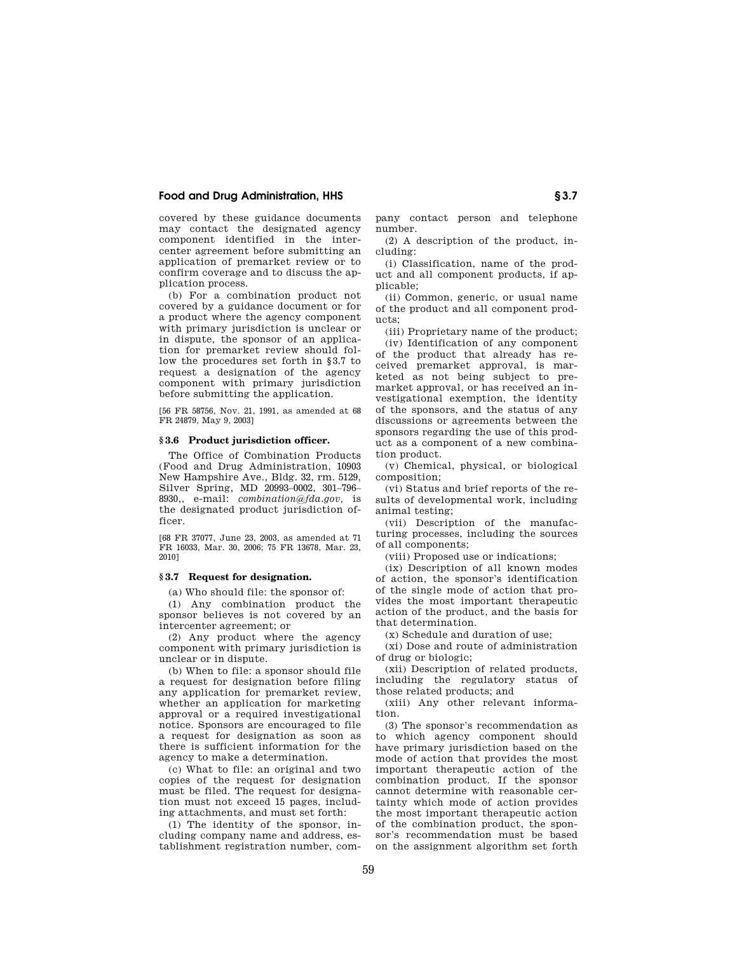## **Food and Drug Administration, HHS § 3.7**

covered by these guidance documents may contact the designated agency component identified in the intercenter agreement before submitting an application of premarket review or to confirm coverage and to discuss the application process.

(b) For a combination product not covered by a guidance document or for a product where the agency component with primary jurisdiction is unclear or in dispute, the sponsor of an application for premarket review should follow the procedures set forth in §3.7 to request a designation of the agency component with primary jurisdiction before submitting the application.

[56 FR 58756, Nov. 21, 1991, as amended at 68 FR 24879, May 9, 2003]

## **§ 3.6 Product jurisdiction officer.**

The Office of Combination Products (Food and Drug Administration, 10903 New Hampshire Ave., Bldg. 32, rm. 5129, Silver Spring, MD 20993–0002, 301–796– 8930,, e-mail: *combination@fda.gov,* is the designated product jurisdiction officer.

[68 FR 37077, June 23, 2003, as amended at 71 FR 16033, Mar. 30, 2006; 75 FR 13678, Mar. 23, 2010]

#### **§ 3.7 Request for designation.**

(a) Who should file: the sponsor of:

(1) Any combination product the sponsor believes is not covered by an intercenter agreement; or

(2) Any product where the agency component with primary jurisdiction is unclear or in dispute.

(b) When to file: a sponsor should file a request for designation before filing any application for premarket review, whether an application for marketing approval or a required investigational notice. Sponsors are encouraged to file a request for designation as soon as there is sufficient information for the agency to make a determination.

(c) What to file: an original and two copies of the request for designation must be filed. The request for designation must not exceed 15 pages, including attachments, and must set forth:

(1) The identity of the sponsor, including company name and address, establishment registration number, company contact person and telephone number.

(2) A description of the product, including:

(i) Classification, name of the product and all component products, if applicable;

(ii) Common, generic, or usual name of the product and all component products;

(iii) Proprietary name of the product;

(iv) Identification of any component of the product that already has received premarket approval, is marketed as not being subject to premarket approval, or has received an investigational exemption, the identity of the sponsors, and the status of any discussions or agreements between the sponsors regarding the use of this product as a component of a new combination product.

(v) Chemical, physical, or biological composition;

(vi) Status and brief reports of the results of developmental work, including animal testing;

(vii) Description of the manufacturing processes, including the sources of all components;

(viii) Proposed use or indications;

(ix) Description of all known modes of action, the sponsor's identification of the single mode of action that provides the most important therapeutic action of the product, and the basis for that determination.

(x) Schedule and duration of use;

(xi) Dose and route of administration of drug or biologic;

(xii) Description of related products, including the regulatory status of those related products; and

(xiii) Any other relevant information.

(3) The sponsor's recommendation as to which agency component should have primary jurisdiction based on the mode of action that provides the most important therapeutic action of the combination product. If the sponsor cannot determine with reasonable certainty which mode of action provides the most important therapeutic action of the combination product, the sponsor's recommendation must be based on the assignment algorithm set forth